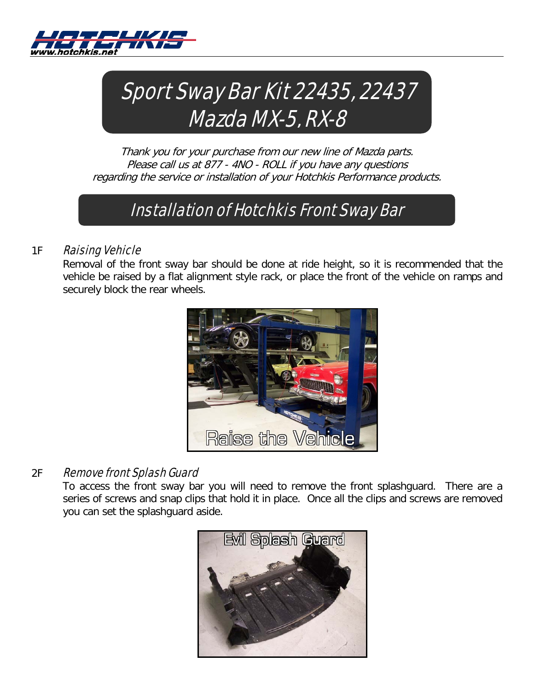



Thank you for your purchase from our new line of Mazda parts. Please call us at 877 - 4NO - ROLL if you have any questions regarding the service or installation of your Hotchkis Performance products.

# Installation of Hotchkis Front Sway Bar

## 1F **Raising Vehicle**

Removal of the front sway bar should be done at ride height, so it is recommended that the vehicle be raised by a flat alignment style rack, or place the front of the vehicle on ramps and securely block the rear wheels.



# 2F Remove front Splash Guard

To access the front sway bar you will need to remove the front splashguard. There are a series of screws and snap clips that hold it in place. Once all the clips and screws are removed you can set the splashguard aside.

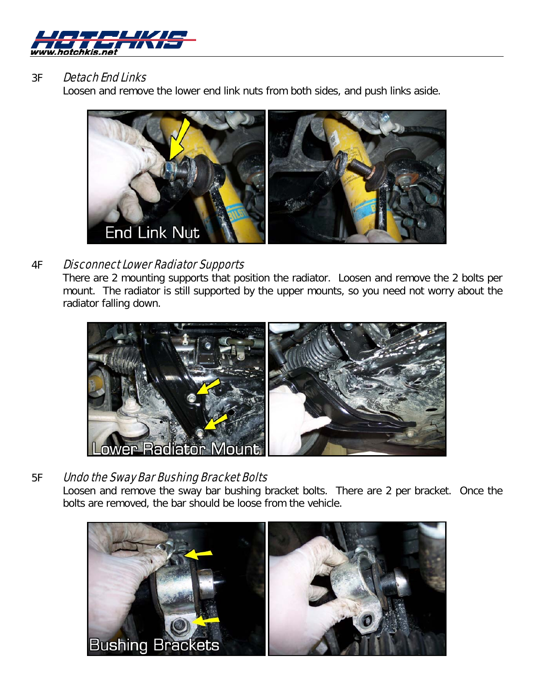

## 3F **Detach End Links**

Loosen and remove the lower end link nuts from both sides, and push links aside.



## 4F Disconnect Lower Radiator Supports

There are 2 mounting supports that position the radiator. Loosen and remove the 2 bolts per mount. The radiator is still supported by the upper mounts, so you need not worry about the radiator falling down.



# 5F Undo the Sway Bar Bushing Bracket Bolts

Loosen and remove the sway bar bushing bracket bolts. There are 2 per bracket. Once the bolts are removed, the bar should be loose from the vehicle.

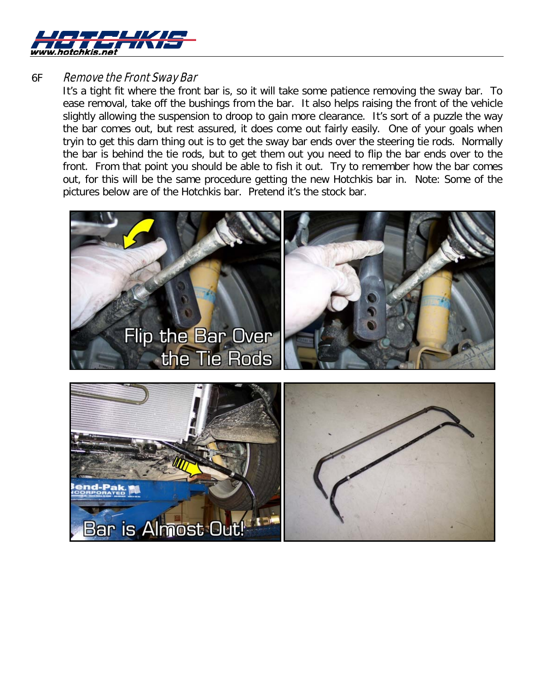

### 6F Remove the Front Sway Bar

It's a tight fit where the front bar is, so it will take some patience removing the sway bar. To ease removal, take off the bushings from the bar. It also helps raising the front of the vehicle slightly allowing the suspension to droop to gain more clearance. It's sort of a puzzle the way the bar comes out, but rest assured, it does come out fairly easily. One of your goals when tryin to get this darn thing out is to get the sway bar ends over the steering tie rods. Normally the bar is behind the tie rods, but to get them out you need to flip the bar ends over to the front. From that point you should be able to fish it out. Try to remember how the bar comes out, for this will be the same procedure getting the new Hotchkis bar in. Note: Some of the pictures below are of the Hotchkis bar. Pretend it's the stock bar.

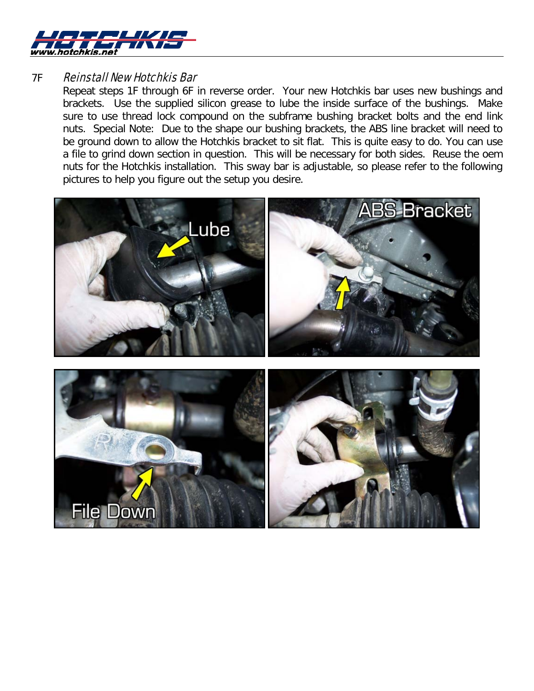

### **7F Reinstall New Hotchkis Bar**

Repeat steps 1F through 6F in reverse order. Your new Hotchkis bar uses new bushings and brackets. Use the supplied silicon grease to lube the inside surface of the bushings. Make sure to use thread lock compound on the subframe bushing bracket bolts and the end link nuts. Special Note: Due to the shape our bushing brackets, the ABS line bracket will need to be ground down to allow the Hotchkis bracket to sit flat. This is quite easy to do. You can use a file to grind down section in question. This will be necessary for both sides. Reuse the oem nuts for the Hotchkis installation. This sway bar is adjustable, so please refer to the following pictures to help you figure out the setup you desire.

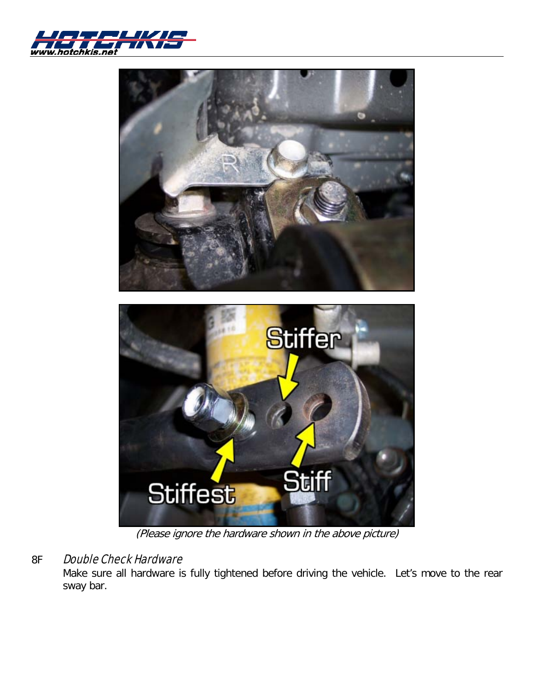



(Please ignore the hardware shown in the above picture)

# 8F Double Check Hardware

Make sure all hardware is fully tightened before driving the vehicle. Let's move to the rear sway bar.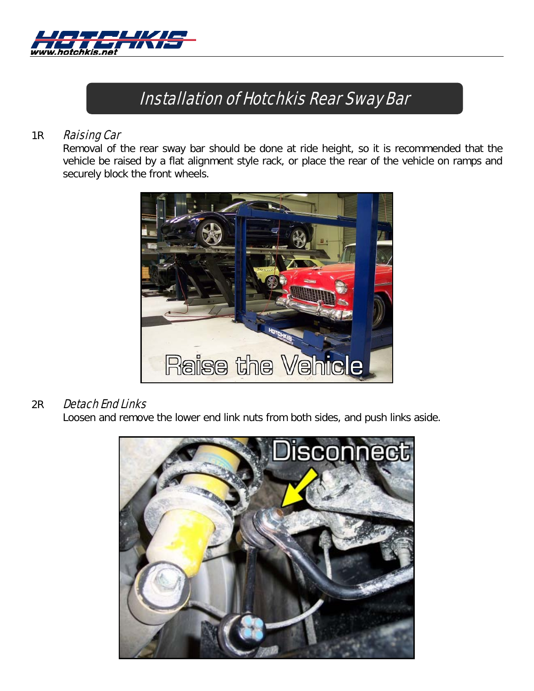

# Installation of Hotchkis Rear Sway Bar

### 1R **Raising Car**

Removal of the rear sway bar should be done at ride height, so it is recommended that the vehicle be raised by a flat alignment style rack, or place the rear of the vehicle on ramps and securely block the front wheels.



### 2R Detach End Links

Loosen and remove the lower end link nuts from both sides, and push links aside.

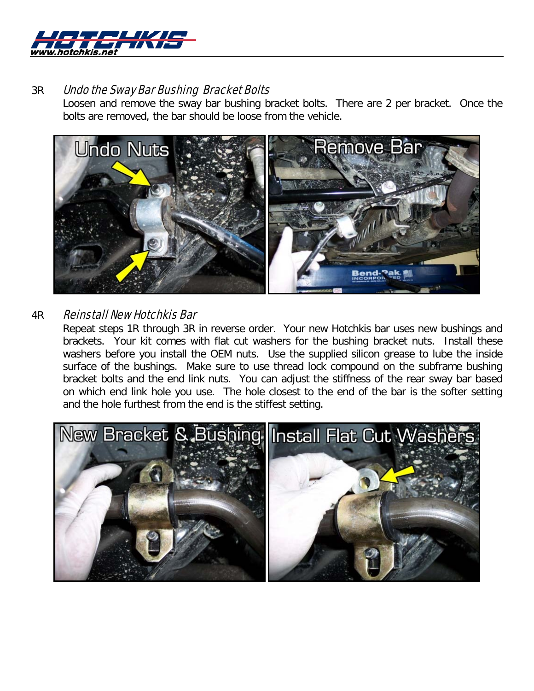

### 3R Undo the Sway Bar Bushing Bracket Bolts

Loosen and remove the sway bar bushing bracket bolts. There are 2 per bracket. Once the bolts are removed, the bar should be loose from the vehicle.



# 4R Reinstall New Hotchkis Bar

Repeat steps 1R through 3R in reverse order. Your new Hotchkis bar uses new bushings and brackets. Your kit comes with flat cut washers for the bushing bracket nuts. Install these washers before you install the OEM nuts. Use the supplied silicon grease to lube the inside surface of the bushings. Make sure to use thread lock compound on the subframe bushing bracket bolts and the end link nuts. You can adjust the stiffness of the rear sway bar based on which end link hole you use. The hole closest to the end of the bar is the softer setting and the hole furthest from the end is the stiffest setting.

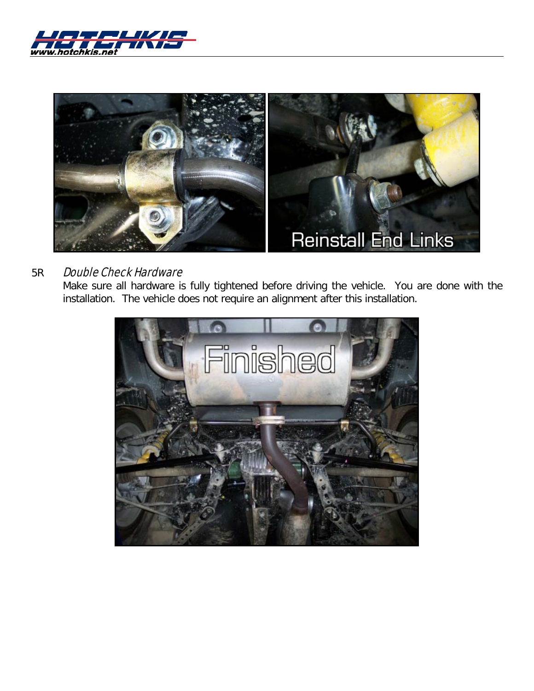



# 5R Double Check Hardware

Make sure all hardware is fully tightened before driving the vehicle. You are done with the installation. The vehicle does not require an alignment after this installation.

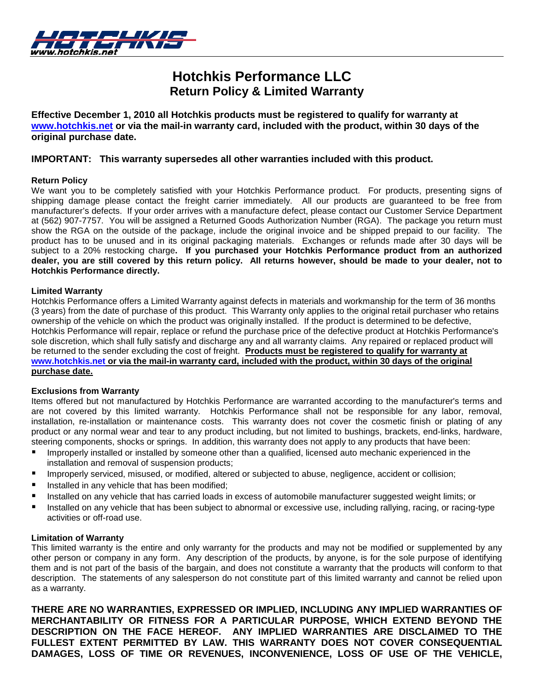

# **Hotchkis Performance LLC Return Policy & Limited Warranty**

**Effective December 1, 2010 all Hotchkis products must be registered to qualify for warranty at [www.hotchkis.net](http://www.hotchkis.net/) or via the mail-in warranty card, included with the product, within 30 days of the original purchase date.**

### **IMPORTANT: This warranty supersedes all other warranties included with this product.**

#### **Return Policy**

We want you to be completely satisfied with your Hotchkis Performance product. For products, presenting signs of shipping damage please contact the freight carrier immediately. All our products are guaranteed to be free from manufacturer's defects. If your order arrives with a manufacture defect, please contact our Customer Service Department at (562) 907-7757. You will be assigned a Returned Goods Authorization Number (RGA). The package you return must show the RGA on the outside of the package, include the original invoice and be shipped prepaid to our facility. The product has to be unused and in its original packaging materials. Exchanges or refunds made after 30 days will be subject to a 20% restocking charge**. If you purchased your Hotchkis Performance product from an authorized dealer, you are still covered by this return policy. All returns however, should be made to your dealer, not to Hotchkis Performance directly.**

#### **Limited Warranty**

Hotchkis Performance offers a Limited Warranty against defects in materials and workmanship for the term of 36 months (3 years) from the date of purchase of this product. This Warranty only applies to the original retail purchaser who retains ownership of the vehicle on which the product was originally installed. If the product is determined to be defective, Hotchkis Performance will repair, replace or refund the purchase price of the defective product at Hotchkis Performance's sole discretion, which shall fully satisfy and discharge any and all warranty claims. Any repaired or replaced product will be returned to the sender excluding the cost of freight. **Products must be registered to qualify for warranty at [www.hotchkis.net](http://www.hotchkis.net/) or via the mail-in warranty card, included with the product, within 30 days of the original purchase date.** 

#### **Exclusions from Warranty**

Items offered but not manufactured by Hotchkis Performance are warranted according to the manufacturer's terms and are not covered by this limited warranty. Hotchkis Performance shall not be responsible for any labor, removal, installation, re-installation or maintenance costs. This warranty does not cover the cosmetic finish or plating of any product or any normal wear and tear to any product including, but not limited to bushings, brackets, end-links, hardware, steering components, shocks or springs. In addition, this warranty does not apply to any products that have been:

- Improperly installed or installed by someone other than a qualified, licensed auto mechanic experienced in the installation and removal of suspension products;
- Improperly serviced, misused, or modified, altered or subjected to abuse, negligence, accident or collision;
- Installed in any vehicle that has been modified;
- Installed on any vehicle that has carried loads in excess of automobile manufacturer suggested weight limits; or
- Installed on any vehicle that has been subject to abnormal or excessive use, including rallying, racing, or racing-type activities or off-road use.

#### **Limitation of Warranty**

This limited warranty is the entire and only warranty for the products and may not be modified or supplemented by any other person or company in any form. Any description of the products, by anyone, is for the sole purpose of identifying them and is not part of the basis of the bargain, and does not constitute a warranty that the products will conform to that description. The statements of any salesperson do not constitute part of this limited warranty and cannot be relied upon as a warranty.

**THERE ARE NO WARRANTIES, EXPRESSED OR IMPLIED, INCLUDING ANY IMPLIED WARRANTIES OF MERCHANTABILITY OR FITNESS FOR A PARTICULAR PURPOSE, WHICH EXTEND BEYOND THE DESCRIPTION ON THE FACE HEREOF. ANY IMPLIED WARRANTIES ARE DISCLAIMED TO THE FULLEST EXTENT PERMITTED BY LAW. THIS WARRANTY DOES NOT COVER CONSEQUENTIAL DAMAGES, LOSS OF TIME OR REVENUES, INCONVENIENCE, LOSS OF USE OF THE VEHICLE,**